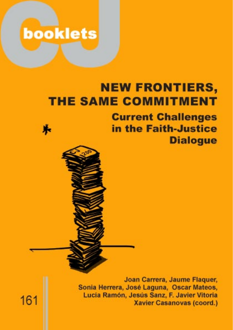

# **NEW FRONTIERS, THE SAME COMMITMENT**



**Current Challenges** in the Faith-Justice **Dialogue** 

Joan Carrera, Jaume Flaquer, Sonia Herrera, José Laguna, Oscar Mateos, Lucia Ramón, Jesús Sanz, F. Javier Vitoria **Xavier Casanovas (coord.)** 

161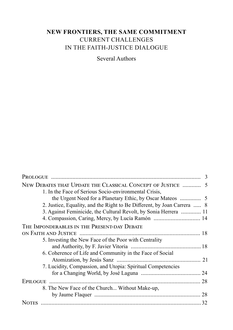# **NEW FRONTIERS, THE SAME COMMITMENT** CURRENT CHALLENGES IN THE FAITH-JUSTICE DIALOGUE

Several Authors

| NEW DEBATES THAT UPDATE THE CLASSICAL CONCEPT OF JUSTICE  5             |  |
|-------------------------------------------------------------------------|--|
| 1. In the Face of Serious Socio-environmental Crisis,                   |  |
|                                                                         |  |
| 2. Justice, Equality, and the Right to Be Different, by Joan Carrera  8 |  |
| 3. Against Feminicide, the Cultural Revolt, by Sonia Herrera  11        |  |
| 4. Compassion, Caring, Mercy, by Lucía Ramón  14                        |  |
| THE IMPONDERABLES IN THE PRESENT-DAY DEBATE                             |  |
|                                                                         |  |
| 5. Investing the New Face of the Poor with Centrality                   |  |
|                                                                         |  |
| 6. Coherence of Life and Community in the Face of Social                |  |
|                                                                         |  |
| 7. Lucidity, Compassion, and Utopia: Spiritual Competencies             |  |
|                                                                         |  |
|                                                                         |  |
| 8. The New Face of the Church Without Make-up,                          |  |
|                                                                         |  |
|                                                                         |  |
|                                                                         |  |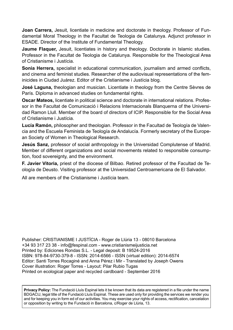**Joan Carrera,** Jesuit, licentiate in medicine and doctorate in theology. Professor of Fundamental Moral Theology in the Facultat de Teologia de Catalunya. Adjunct professor in ESADE. Director of the Institute of Fundamental Theology.

**Jaume Flaquer,** Jesuit, licentiates in history and theology. Doctorate in Islamic studies. Professor in the Facultat de Teologia de Catalunya. Responsible for the Theological Area of Cristianisme i Justícia.

**Sonia Herrera,** specialist in educational communication, journalism and armed conflicts, and cinema and feminist studies. Researcher of the audiovisual representations of the feminicides in Ciudad Juárez. Editor of the Cristianisme i Justícia blog.

**José Laguna,** theologian and musician. Licentiate in theology from the Centre Sèvres de París. Diploma in advanced studies on fundamental rights.

**Oscar Mateos,** licentiate in political science and doctorate in international relations. Professor in the Facultat de Comunicació i Relacions Internacionals Blanquerna of the Universidad Ramon Llull. Member of the board of directors of ICIP. Responsible for the Social Area of Cristianisme i Justícia.

**Lucía Ramón,** philosopher and theologian. Professor in the Facultad de Teología de Valencia and the Escuela Feminista de Teología de Andalucía. Formerly secretary of the European Society of Women in Theological Research.

**Jesús Sanz,** professor of social anthropology in the Universidad Complutense of Madrid. Member of different organizations and social movements related to responsible consumption, food sovereignty, and the environment.

**F. Javier Vitoria,** priest of the diocese of Bilbao. Retired professor of the Facultad de Teología de Deusto. Visiting professor at the Universidad Centroamericana de El Salvador.

All are members of the Cristianisme i Justícia team.

Publisher: CRISTIANISME I JUSTÍCIA - Roger de Llúria 13 - 08010 Barcelona +34 93 317 23 38 - info@fespinal.com - www.cristianismeijusticia.net Printed by: Ediciones Rondas S.L. - Legal deposit: B 19524-2016 ISBN: 978-84-9730-379-8 - ISSN: 2014-6566 - ISSN (virtual edition): 2014-6574 Editor: Santi Torres Rocaginé and Anna Pérez i Mir - Translated by Joseph Owens Cover illustration: Roger Torres - Layout: Pilar Rubio Tugas Printed on ecological paper and recycled cardboard - September 2016

**Privacy Policy:** The Fundació Lluís Espinal lets it be known that its data are registered in a file under the name BDGACIJ, legal title of the Fundació Lluís Espinal. These are used only for providing the services we render you and for keeping you in form ed of our activities. You may exercise your rights of access, rectification, cancelation or opposition by writing to the Fundació in Barcelona, c/Roger de Llúria, 13.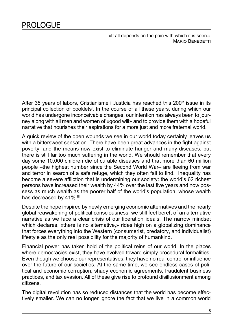«It all depends on the pain with which it is seen.» MARIO BENEDETTI

<span id="page-4-0"></span>After 35 years of labors, Cristianisme i Justícia has reached this  $200<sup>th</sup>$  issue in its principal collection of booklets<sup>i</sup>. In the course of all these years, during which our world has undergone inconceivable changes, our intention has always been to journey along with all men and women of «good will» and to provide them with a hopeful narrative that nourishes their aspirations for a more just and more fraternal world.

A quick review of the open wounds we see in our world today certainly leaves us with a bittersweet sensation. There have been great advances in the fight against poverty, and the means now exist to eliminate hunger and many diseases, but there is still far too much suffering in the world. We should remember that every day some 10,000 children die of curable diseases and that more than 60 million people –the highest number since the Second World War– are fleeing from war and terror in search of a safe refuge, which they often fail to find.<sup>II</sup> Inequality has become a severe affliction that is undermining our society: the world's 62 richest persons have increased their wealth by 44% over the last five years and now possess as much wealth as the poorer half of the world's population, whose wealth has decreased by 41%.<sup>III</sup>

Despite the hope inspired by newly emerging economic alternatives and the nearly global reawakening of political consciousness, we still feel bereft of an alternative narrative as we face a clear crisis of our liberation ideals. The narrow mindset which declares, «there is no alternative,» rides high on a globalizing dominance that forces everything into the Western (consumerist, predatory, and individualist) lifestyle as the only real possibility for the majority of humankind.

Financial power has taken hold of the political reins of our world. In the places where democracies exist, they have evolved toward simply procedural formalities. Even though we choose our representatives, they have no real control or influence over the future of our societies. At the same time, we see endless cases of political and economic corruption, shady economic agreements, fraudulent business practices, and tax evasion. All of these give rise to profound disillusionment among citizens.

The digital revolution has so reduced distances that the world has become effectively smaller. We can no longer ignore the fact that we live in a common world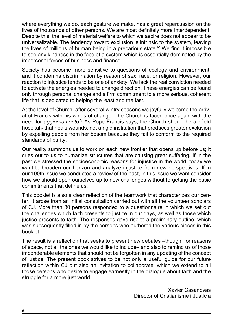where everything we do, each gesture we make, has a great repercussion on the lives of thousands of other persons. We are most definitely more interdependent. Despite this, the level of material welfare to which we aspire does not appear to be universalizable. The tendency toward exclusion is intrinsic to the system, leaving the lives of millions of human being in a precarious state.<sup> $V$ </sup> We find it impossible to see any kindness in the face of a system which is essentially dominated by the impersonal forces of business and finance.

Society has become more sensitive to questions of ecology and environment, and it condemns discrimination by reason of sex, race, or religion. However, our reaction to injustice tends to be one of anxiety. We lack the real conviction needed to activate the energies needed to change direction. These energies can be found only through personal change and a firm commitment to a more serious, coherent life that is dedicated to helping the least and the last.

At the level of Church, after several wintry seasons we joyfully welcome the arrival of Francis with his winds of change. The Church is faced once again with the need for *aggiornamento.*<sup>V</sup> As Pope Francis says, the Church should be a «field hospital» that heals wounds, not a rigid institution that produces greater exclusion by expelling people from her bosom because they fail to conform to the required standards of purity.

Our reality summons us to work on each new frontier that opens up before us; it cries out to us to humanize structures that are causing great suffering. If in the past we stressed the socioeconomic reasons for injustice in the world, today we want to broaden our horizon and analyze injustice from new perspectives. If in our 100th issue we conducted a review of the past, in this issue we want consider how we should open ourselves up to new challenges without forgetting the basic commitments that define us.

This booklet is also a clear reflection of the teamwork that characterizes our center. It arose from an initial consultation carried out with all the volunteer scholars of CJ. More than 30 persons responded to a questionnaire in which we set out the challenges which faith presents to justice in our days, as well as those which justice presents to faith. The responses gave rise to a preliminary outline, which was subsequently filled in by the persons who authored the various pieces in this booklet.

The result is a reflection that seeks to present new debates -though, for reasons of space, not all the ones we would like to include– and also to remind us of those imponderable elements that should not be forgotten in any updating of the concept of justice. The present book strives to be not only a useful guide for our future reflection within CJ but also an invitation to collaborate, which we extend to all those persons who desire to engage earnestly in the dialogue about faith and the struggle for a more just world.

> Xavier Casanovas Director of Cristianisme i Justícia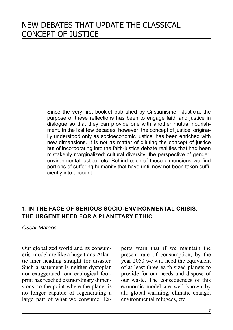<span id="page-6-0"></span>Since the very first booklet published by Cristianisme i Justícia, the purpose of these reflections has been to engage faith and justice in dialogue so that they can provide one with another mutual nourishment. In the last few decades, however, the concept of justice, originally understood only as socioeconomic justice, has been enriched with new dimensions. It is not as matter of diluting the concept of justice but of incorporating into the faith-justice debate realities that had been mistakenly marginalized: cultural diversity, the perspective of gender, environmental justice, etc. Behind each of these dimensions we find portions of suffering humanity that have until now not been taken sufficiently into account.

# **1. IN THE FACE OF SERIOUS SOCIO-ENVIRONMENTAL CRISIS, THE URGENT NEED FOR A PLANETARY ETHIC**

#### *Oscar Mateos*

Our globalized world and its consumerist model are like a huge trans-Atlantic liner heading straight for disaster. Such a statement is neither dystopian nor exaggerated: our ecological footprint has reached extraordinary dimensions, to the point where the planet is no longer capable of regenerating a large part of what we consume. Experts warn that if we maintain the present rate of consumption, by the year 2050 we will need the equivalent of at least three earth-sized planets to provide for our needs and dispose of our waste. The consequences of this economic model are well known by all: global warming, climatic change, environmental refugees, etc.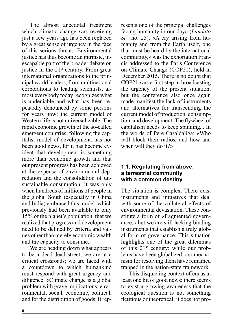The almost anecdotal treatment which climatic change was receiving just a few years ago has been replaced by a great sense of urgency in the face of this serious threat.<sup>1</sup> Environmental justice has thus become an intrinsic, inescapable part of the broader debate on justice in the  $21<sup>st</sup>$  century. From great international organizations to the principal world leaders, from multinational corporations to leading scientists, almost everybody today recognizes what is undeniable and what has been repeatedly denounced by some persons for years now: the current model of Western life is not universalizable. The rapid economic growth of the so-called emergent countries, following the capitalist model of development, has not been good news, for it has become evident that development is something more than economic growth and that our present progress has been achieved at the expense of environmental depredation and the consolidation of unsustainable consumption. It was only when hundreds of millions of people in the global South (especially in China and India) embraced this model, which previously had been available to only 15% of the planet's population, that we realized that progress and development need to be defined by criteria and values other than merely economic wealth and the capacity to consume.

We are heading down what appears to be a dead-dead street; we are at a critical crossroads; we are faced with a countdown to which humankind must respond with great urgency and diligence. «Climate change is a global problem with grave implications: environmental, social, economic, political, and for the distribution of goods. It represents one of the principal challenges facing humanity in our day» (*Laudato Si´,* no. 25). «A cry arising from humanity and from the Earth itself, one that must be heard by the international community,» was the exhortation Francis addressed to the Paris Conference on Climate Change (COP21), held in December 2015. There is no doubt that COP21 was a first step in broadcasting the urgency of the present situation, but the conference also once again made manifest the lack of instruments and alternatives for transcending the current model of production, consumption, and development. The flywheel of capitalism needs to keep spinning... In the words of Pere Casaldáliga: «Who will block their radios, and how and when will they do it?»

#### **1.1. Regulating from above: a terrestrial community with a common destiny**

The situation is complex. There exist instruments and initiatives that deal with some of the collateral effects of environmental devastation. These constitute a form of «fragmented governance,» but we are still lacking binding instruments that establish a truly global form of governance. This situation highlights one of the great dilemmas of this  $21^{st}$  century: while our problems have been globalized, our mechanism for resolving them have remained trapped in the nation-state framework.

This disquieting context offers us at least one bit of good news: there seems to exist a growing awareness that the ecological question is not something fictitious or theoretical; it does not pro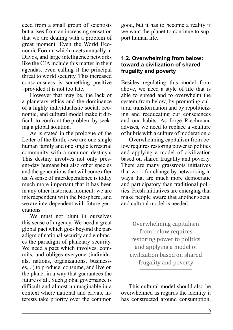ceed from a small group of scientists but arises from an increasing sensation that we are dealing with a problem of great moment. Even the World Economic Forum, which meets annually in Davos, and large intelligence networks like the CIA include this matter in their agendas, even calling it the principal threat to world security. This increased consciousness is something positive –provided it is not too late.

However that may be, the lack of a planetary ethics and the dominance of a highly individualistic social, economic, and cultural model make it difficult to confront the problem by seeking a global solution.

As is stated in the prologue of the Letter of the Earth, «we are one single human family and one single terrestrial community with a common destiny.» This destiny involves not only present-day humans but also other species and the generations that will come after us. A sense of interdependence is today much more important that it has been in any other historical moment: we are interdependent with the biosphere, and we are interdependent with future generations.

We must not blunt in ourselves this sense of urgency. We need a great global pact which goes beyond the paradigm of national security and embraces the paradigm of planetary security. We need a pact which involves, commits, and obliges everyone (individuals, nations, organizations, businesses,...) to produce, consume, and live on the planet in a way that guarantees the future of all. Such global governance is difficult and almost unimaginable in a context where national and private interests take priority over the common good, but it has to become a reality if we want the planet to continue to support human life.

#### **1.2. Overwhelming from below: toward a civilization of shared frugality and poverty**

Besides regulating this model from above, we need a style of life that is able to spread and to overwhelm the system from below, by promoting cultural transformation and by repoliticizing and reeducating our consciences and our habits. As Jorge Riechmann advises, we need to replace a «culture of hubris with a culture of moderation.»

Overwhelming capitalism from below requires restoring power to politics and applying a model of civilization based on shared frugality and poverty. There are many grassroots initiatives that work for change by networking in ways that are much more democratic and participatory than traditional politics. Fresh initiatives are emerging that make people aware that another social and cultural model is needed.

Overwhelming capitalism from below requires restoring power to politics and applying a model of civilization based on shared frugality and poverty

This cultural model should also be overwhelmed as regards the identity it has constructed around consumption,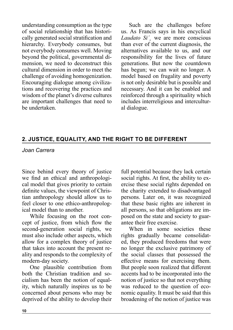<span id="page-9-0"></span>understanding consumption as the type of social relationship that has historically generated social stratification and hierarchy. Everybody consumes, but not everybody consumes well. Moving beyond the political, governmental dimension, we need to deconstruct this cultural dimension in order to meet the challenge of avoiding homogenization. Encouraging dialogue among civilizations and recovering the practices and wisdom of the planet's diverse cultures are important challenges that need to be undertaken.

Such are the challenges before us. As Francis says in his encyclical *Laudato Si´¸* we are more conscious than ever of the current diagnosis, the alternatives available to us, and our responsibility for the lives of future generations. But now the countdown has begun; we can wait no longer. A model based on frugality and poverty is not only desirable but is possible and necessary. And it can be enabled and reinforced through a spirituality which includes interreligious and intercultural dialogue.

# **2. JUSTICE, EQUALITY, AND THE RIGHT TO BE DIFFERENT**

*Joan Carrera*

Since behind every theory of justice we find an ethical and anthropological model that gives priority to certain definite values, the viewpoint of Christian anthropology should allow us to feel closer to one ethico-anthropological model than to another.

While focusing on the root concept of justice, from which flow the second-generation social rights, we must also include other aspects, which allow for a complex theory of justice that takes into account the present reality and responds to the complexity of modern-day society.

One plausible contribution from both the Christian tradition and socialism has been the notion of equality, which naturally inspires us to be concerned about persons who may be deprived of the ability to develop their full potential because they lack certain social rights. At first, the ability to exercise these social rights depended on the charity extended to disadvantaged persons. Later on, it was recognized that these basic rights are inherent in all persons, so that obligations are imposed on the state and society to guarantee their free exercise.

When in some societies these rights gradually became consolidated, they produced freedoms that were no longer the exclusive patrimony of the social classes that possessed the effective means for exercising them. But people soon realized that different accents had to be incorporated into the notion of justice so that not everything was reduced to the question of economic equality. It must be said that this broadening of the notion of justice was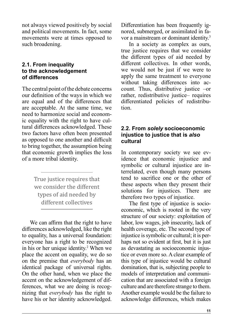not always viewed positively by social and political movements. In fact, some movements were at times opposed to such broadening.

## **2.1. From inequality to the acknowledgement of differences**

The central point of the debate concerns our definition of the ways in which we are equal and of the differences that are acceptable. At the same time, we need to harmonize social and economic equality with the right to have cultural differences acknowledged. These two factors have often been presented as opposed to one another and difficult to bring together, the assumption being that economic growth implies the loss of a more tribal identity.

> True justice requires that we consider the different types of aid needed by different collectives

We can affirm that the right to have differences acknowledged, like the right to equality, has a universal foundation: everyone has a right to be recognized in his or her unique identity.<sup>2</sup> When we place the accent on equality, we do so on the premise that *everybody* has an identical package of universal rights. On the other hand, when we place the accent on the acknowledgement of differences, what we are doing is recognizing that *everybody* has the right to have his or her identity acknowledged.

Differentiation has been frequently ignored, submerged, or assimilated in favor a mainstream or dominant identity.<sup>3</sup>

In a society as complex as ours, true justice requires that we consider the different types of aid needed by different collectives. In other words, we would not be just if we were to apply the same treatment to everyone without taking differences into account. Thus, distributive justice –or rather, redistributive justice– requires differentiated policies of redistribution.

#### **2.2. From** *solely* **socioeconomic injustice to justice that is** *also*  **cultural**

In contemporary society we see evidence that economic injustice and symbolic or cultural injustice are interrelated, even though many persons tend to sacrifice one or the other of these aspects when they present their solutions for injustices. There are therefore two types of injustice.

The first type of injustice is socioeconomic, which is rooted in the very structure of our society: exploitation of labor, low wages, job insecurity, lack of health coverage, etc. The second type of injustice is symbolic or cultural; it is perhaps not so evident at first, but it is just as devastating as socioeconomic injustice or even more so. A clear example of this type of injustice would be cultural domination, that is, subjecting people to models of interpretation and communication that are associated with a foreign culture and are therefore strange to them. Another example would be the failure to acknowledge differences, which makes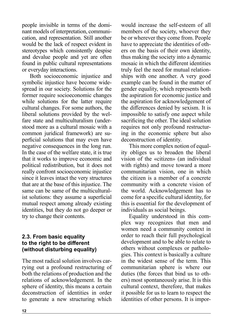people invisible in terms of the dominant models of interpretation, communication, and representation. Still another would be the lack of respect evident in stereotypes which consistently despise and devalue people and yet are often found in public cultural representations or everyday interactions.

Both socioeconomic injustice and symbolic injustice have become widespread in our society. Solutions for the former require socioeconomic changes while solutions for the latter require cultural changes. For some authors, the liberal solutions provided by the welfare state and multiculturalism (understood more as a cultural mosaic with a common juridical framework) are superficial solutions that may even have negative consequences in the long run. In the case of the welfare state, it is true that it works to improve economic and political redistribution, but it does not really confront socioeconomic injustice since it leaves intact the very structures that are at the base of this injustice. The same can be same of the multiculturalist solutions: they assume a superficial mutual respect among already existing identities, but they do not go deeper or try to change their contents.

# **2.3. From basic equality to the right to be different (without disturbing equality)**

The most radical solution involves carrying out a profound restructuring of both the relations of production and the relations of acknowledgement. In the sphere of identity, this means a certain deconstruction of identities in order to generate a new structuring which

would increase the self-esteem of all members of the society, whoever they be or wherever they come from. People have to appreciate the identities of others on the basis of their own identity, thus making the society into a dynamic mosaic in which the different identities truly feel the need for mutual relationships with one another. A very good example can be found in the matter of gender equality, which represents both the aspiration for economic justice and the aspiration for acknowledgement of the differences denied by sexism. It is impossible to satisfy one aspect while sacrificing the other. The ideal solution requires not only profound restructuring in the economic sphere but also deconstruction of identity.

This more complex notion of equality obliges us to broaden the liberal vision of the «citizen» (an individual with rights) and move toward a more communitarian vision, one in which the citizen is a member of a concrete community with a concrete vision of the world. Acknowledgement has to come for a specific cultural identity, for this is essential for the development of individuals as social beings.

Equality understood in this complex way recognizes that men and women need a community context in order to reach their full psychological development and to be able to relate to others without complexes or pathologies. This context is basically a culture in the widest sense of the term. This communitarian sphere is where our duties (the forces that bind us to others) most spontaneously arise. It is this cultural context, therefore, that makes it possible for us to learn to respect the identities of other persons. It is impor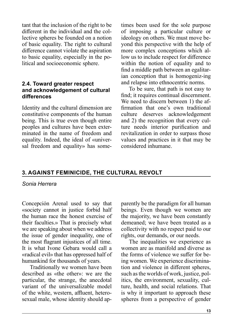<span id="page-12-0"></span>tant that the inclusion of the right to be different in the individual and the collective spheres be founded on a notion of basic equality. The right to cultural difference cannot violate the aspiration to basic equality, especially in the political and socioeconomic sphere.

#### **2.4. Toward greater respect and acknowledgement of cultural differences**

Identity and the cultural dimension are constitutive components of the human being. This is true even though entire peoples and cultures have been exterminated in the name of freedom and equality. Indeed, the ideal of «universal freedom and equality» has sometimes been used for the sole purpose of imposing a particular culture or ideology on others. We must move beyond this perspective with the help of more complex conceptions which allow us to include respect for difference within the notion of equality and to find a middle path between an egalitarian conception that is homogeniz-ing and relapse into ethnocentric norms.

To be sure, that path is not easy to find; it requires continual discernment. We need to discern between 1) the affirmation that one's own traditional culture deserves acknowledgement and 2) the recognition that every culture needs interior purification and revitalization in order to surpass those values and practices in it that may be considered inhumane.

# **3. AGAINST FEMINICIDE, THE CULTURAL REVOLT**

#### *Sonia Herrera*

Concepción Arenal used to say that «society cannot in justice forbid half the human race the honest exercise of their faculties.» That is precisely what we are speaking about when we address the issue of gender inequality, one of the most flagrant injustices of all time. It is what Ivone Gebara would call a «radical evil» that has oppressed half of humankind for thousands of years.

Traditionally we women have been described as «the other»: we are the particular, the strange, the anecdotal variant of the universalizable model of the white, western, affluent, heterosexual male, whose identity should apparently be the paradigm for all human beings. Even though we women are the majority, we have been constantly demeaned; we have been treated as a collectivity with no respect paid to our rights, our demands, or our needs.

The inequalities we experience as women are as manifold and diverse as the forms of violence we suffer for being women. We experience discrimination and violence in different spheres, such as the worlds of work, justice, politics, the environment, sexuality, culture, health, and social relations. That is why it important to approach these spheres from a perspective of gender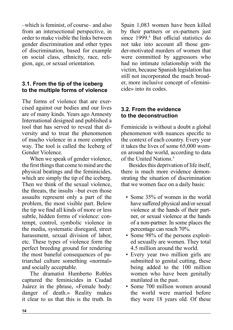–which is feminist, of course– and also from an intersectional perspective, in order to make visible the links between gender discrimination and other types of discrimination, based for example on social class, ethnicity, race, religion, age, or sexual orientation.

# **3.1. From the tip of the iceberg to the multiple forms of violence**

The forms of violence that are exercised against our bodies and our lives are of many kinds. Years ago Amnesty International designed and published a tool that has served to reveal that diversity and to treat the phenomenon of macho violence in a more complex way. The tool is called the Iceberg of Gender Violence.

When we speak of gender violence, the first things that come to mind are the physical beatings and the feminicides, which are simply the tip of the iceberg. Then we think of the sexual violence, the threats, the insults –but even those assaults represent only a part of the problem, the most visible part. Below the tip we find all kinds of more or less subtle, hidden forms of violence: contempt, control, symbolic violence in the media, systematic disregard, street harassment, sexual division of labor, etc. These types of violence form the perfect breeding ground for rendering the most baneful consequences of patriarchal culture something «normal» and socially acceptable.

The dramatist Humberto Robles captured the feminicides in Ciudad Juárez in the phrase, «Female body: danger of death.» Reality makes it clear to us that this is the truth. In Spain 1,083 women have been killed by their partners or ex-partners just since 1999.<sup>4</sup> But official statistics do not take into account all those gender-motivated murders of women that were committed by aggressors who had no intimate relationship with the victim, because Spanish legislation has still not incorporated the much broader, more inclusive concept of «feminicide» into its codes.

# **3.2. From the evidence to the deconstruction**

Feminicide is without a doubt a global phenomenon with nuances specific to the context of each country. Every year it takes the lives of some 65,000 women around the world, according to data of the United Nations.<sup>5</sup>

Besides this deprivation of life itself, there is much more evidence demonstrating the situation of discrimination that we women face on a daily basis:

- Some 35% of women in the world have suffered physical and/or sexual violence at the hands of their partner, or sexual violence at the hands of a non-partner. In some places the percentage can reach 70%.
- Some 98% of the persons exploited sexually are women. They total 4.5 million around the world.
- Every year two million girls are submitted to genital cutting, these being added to the 100 million women who have been genitally mutilated in the past.
- Some 700 million women around the world were married before they were 18 years old. Of these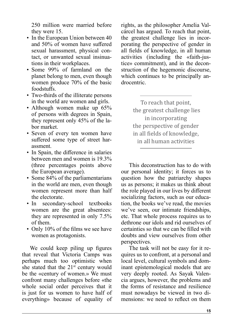250 million were married before they were 15.

- In the European Union between 40 and 50% of women have suffered sexual harassment, physical contact, or unwanted sexual insinuations in their workplaces.
- Some 99% of farmland on the planet belong to men, even though women produce 70% of the basic foodstuffs.
- Two-thirds of the illiterate persons in the world are women and girls.
- Although women make up 65% of persons with degrees in Spain, they represent only 45% of the labor market.
- Seven of every ten women have suffered some type of street harassment.
- In Spain, the difference in salaries between men and women is 19.3% (three percentages points above the European average).
- Some 84% of the parliamentarians in the world are men, even though women represent more than half the electorate.
- In secondary-school textbooks women are the great absentees: they are represented in only 7.5% of them.
- Only 10% of the films we see have women as protagonists.

We could keep piling up figures that reveal that Victoria Camps was perhaps much too optimistic when she stated that the  $21<sup>st</sup>$  century would be the «century of women.» We must confront many challenges before «the whole social order perceives that it is just for us women to have half of everything» because of equality of rights, as the philosopher Amelia Valcárcel has argued. To reach that point, the greatest challenge lies in incorporating the perspective of gender in all fields of knowledge, in all human activities (including the «faith-justice» commitment), and in the deconstruction of the hegemonic discourse, which continues to be principally androcentric.

> To reach that point, the greatest challenge lies in incorporating the perspective of gender in all fields of knowledge, in all human activities

This deconstruction has to do with our personal identity; it forces us to question how the patriarchy shapes us as persons; it makes us think about the role played in our lives by different socializing factors, such as our education, the books we've read, the movies we've seen, our intimate friendships, etc. That whole process requires us to dethrone our idols and rid ourselves of certainties so that we can be filled with doubts and view ourselves from other perspectives.

The task will not be easy for it requires us to confront, at a personal and local level, cultural symbols and dominant epistemological models that are very deeply rooted. As Sayak Valencia argues, however, the problems and the forms of resistance and resilience must nowadays be viewed in two dimensions: we need to reflect on them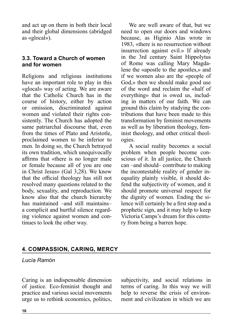<span id="page-15-0"></span>and act up on them in both their local and their global dimensions (abridged as «glocal»).

#### **3.3. Toward a Church of women and for women**

Religions and religious institutions have an important role to play in this «glocal» way of acting. We are aware that the Catholic Church has in the course of history, either by action or omission, discriminated against women and violated their rights consistently. The Church has adopted the same patriarchal discourse that, even from the times of Plato and Aristotle, proclaimed women to be inferior to men. In doing so, the Church betrayed its own tradition, which unequivocally affirms that «there is no longer male or female because all of you are one in Christ Jesus» (Gal 3,28). We know that the official theology has still not resolved many questions related to the body, sexuality, and reproduction. We know also that the church hierarchy has maintained –and still maintains– a complicit and hurtful silence regarding violence against women and continues to look the other way.

We are well aware of that, but we need to open our doors and windows because, as Higinio Alas wrote in 1983, «there is no resurrection without insurrection against evil.» If already in the 3rd century Saint Hippolytus of Rome was calling Mary Magdalene the «apostle to the apostles,» and if we women also are the «people of God,» then we should make good use of the word and reclaim the «half of everything» that is owed us, including in matters of our faith. We can ground this claim by studying the contributions that have been made to this transformation by feminist movements as well as by liberation theology, feminist theology, and other critical theologies.

A social reality becomes a social problem when people become conscious of it. In all justice, the Church can –and should– contribute to making the incontestable reality of gender inequality plainly visible, it should defend the subjectivity of women, and it should promote universal respect for the dignity of women. Ending the silence will certainly be a first stop and a prophetic sign, and it may help to keep Victoria Camps's dream for this century from being a barren hope.

# **4. COMPASSION, CARING, MERCY**

#### *Lucía Ramón*

Caring is an indispensable dimension of justice. Eco-feminist thought and practice and various social movements urge us to rethink economics, politics, subjectivity, and social relations in terms of caring. In this way we will help to reverse the crisis of environment and civilization in which we are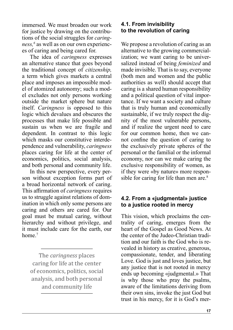immersed. We must broaden our work for justice by drawing on the contributions of the social struggles for *caringness,6* as well as on our own experiences of caring and being cared for.

The idea of *caringness* expresses an alternative stance that goes beyond the traditional concept of *citizenship,*  a term which gives markets a central place and imposes an impossible model of atomized autonomy; such a model excludes not only persons working outside the market sphere but nature itself. *Caringness* is opposed to this logic which devalues and obscures the processes that make life possible and sustain us when we are fragile and dependent. In contrast to this logic which masks our constitutive interdependence and vulnerability, *caringness*  places caring for life at the center of economics, politics, social analysis, and both personal and community life.

In this new perspective, every person without exception forms part of a broad horizontal network of caring. This affirmation of *caringness* requires us to struggle against relations of domination in which only some persons are caring and others are cared for. Our goal must be mutual caring, without hierarchy and without privilege, and it must include care for the earth, our home<sup>7</sup>

The *caringness* places caring for life at the center of economics, politics, social analysis, and both personal and community life

# **4.1. From invisibility to the revolution of caring**

We propose a revolution of caring as an alternative to the growing commercialization; we want caring to be universalized instead of being *feminized* and made invisible. That is to say, everyone (both men and women and the public authorities as well) should accept that caring is a shared human responsibility and a political question of vital importance. If we want a society and culture that is truly human and economically sustainable, if we truly respect the dignity of the most vulnerable persons, and if realize the urgent need to care for our common home, then we cannot confine the question of caring to the exclusively private spheres of the personal or the familial or the informal economy, nor can we make caring the exclusive responsibility of women, as if they were «by nature» more responsible for caring for life than men are.<sup>8</sup>

# **4.2. From a «judgmental» justice to a justice rooted in mercy**

This vision, which proclaims the centrality of caring, emerges from the heart of the Gospel as Good News. At the center of the Judeo-Christian tradition and our faith is the God who is revealed in history as creative, generous, compassionate, tender, and liberating Love. God is just and loves justice, but any justice that is not rooted in mercy ends up becoming «judgmental.» That is why those who pray the psalms, aware of the limitations deriving from their own sins, invoke the just God but trust in his mercy, for it is God's mer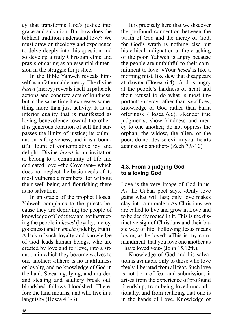cy that transforms God's justice into grace and salvation. But how does the biblical tradition understand love? We must draw on theology and experience to delve deeply into this question and so develop a truly Christian ethic and praxis of caring as an essential dimension in the struggle for justice.

In the Bible Yahweh reveals himself as unfathomable mercy. The divine *hesed* (mercy) reveals itself in palpable actions and concrete acts of kindness, but at the same time it expresses something more than just activity. It is an interior quality that is manifested as loving benevolence toward the other; it is generous donation of self that surpasses the limits of justice; its culmination is forgiveness; and it is a bountiful fount of contemplative joy and delight. Divine *hesed* is an invitation to belong to a community of life and dedicated love –the Covenant– which does not neglect the basic needs of its most vulnerable members, for without their well-being and flourishing there is no salvation.

In an oracle of the prophet Hosea, Yahweh complains to the priests because they are depriving the people of knowledge of God: they are not instructing the people in *hesed* (loyalty, mercy, goodness) and in *emeth* (fidelity, truth). A lack of such loyalty and knowledge of God leads human beings, who are created by love and for love, into a situation in which they become wolves to one another: «There is no faithfulness or loyalty, and no knowledge of God in the land. Swearing, lying, and murder, and stealing and adultery break out, bloodshed follows bloodshed. Therefore the land mourns, and who live in it languish» (Hosea 4,1-3).

It is precisely here that we discover the profound connection between the wrath of God and the mercy of God, for God's wrath is nothing else but his ethical indignation at the crushing of the poor. Yahweh is angry because the people are unfaithful to their commitment to love: «Your *hesed* is like a morning mist, like dew that disappears at dawn» (Hosea 6,4). God is angry at the people's hardness of heart and their refusal to do what is most important: «mercy rather than sacrifices; knowledge of God rather than burnt offerings» (Hosea 6,6). «Render true judgments: show kindness and mercy to one another; do not oppress the orphan, the widow, the alien, or the poor; do not devise evil in your hearts against one another» (Zech 7,9-10).

# **4.3. From a judging God to a loving God**

Love is the very image of God in us. As the Cuban poet says, «Only love gains what will last; only love makes clay into a miracle.» As Christians we are called to live and grow in Love and to be deeply rooted in it. This is the distinctive sign of Christians and their basic way of life. Following Jesus means loving as he loved: «This is my commandment, that you love one another as I have loved you» (John 15,12ff.).

Knowledge of God and his salvation is available only to those who love freely, liberated from all fear. Such love is not born of fear and submission; it arises from the experience of profound friendship, from being loved unconditionally, and from realizing that one is in the hands of Love. Knowledge of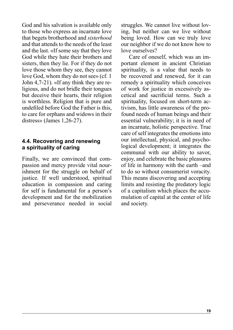<span id="page-18-0"></span>God and his salvation is available only to those who express an incarnate love that begets brotherhood and *sisterhood* and that attends to the needs of the least and the last. «If some say that they love God while they hate their brothers and sisters, then they lie. For if they do not love those whom they see, they cannot love God, whom they do not see» (cf. 1 John 4,7-21). «If any think they are religious, and do not bridle their tongues but deceive their hearts, their religion is worthless. Religion that is pure and undefiled before God the Father is this, to care for orphans and widows in their distress» (James 1,26-27).

## **4.4. Recovering and renewing a spirituality of caring**

Finally, we are convinced that compassion and mercy provide vital nourishment for the struggle on behalf of justice. If well understood, spiritual education in compassion and caring for self is fundamental for a person's development and for the mobilization and perseverance needed in social

struggles. We cannot live without loving, but neither can we live without being loved. How can we truly love our neighbor if we do not know how to love ourselves?

Care of oneself, which was an important element in ancient Christian spirituality, is a value that needs to be recovered and renewed, for it can remedy a spirituality which conceives of work for justice in excessively ascetical and sacrificial terms. Such a spirituality, focused on short-term activism, has little awareness of the profound needs of human beings and their essential vulnerability; it is in need of an incarnate, holistic perspective. True care of self integrates the emotions into our intellectual, physical, and psychological development; it integrates the communal with our ability to savor, enjoy, and celebrate the basic pleasures of life in harmony with the earth –and to do so without consumerist voracity. This means discovering and accepting limits and resisting the predatory logic of a capitalism which places the accumulation of capital at the center of life and society.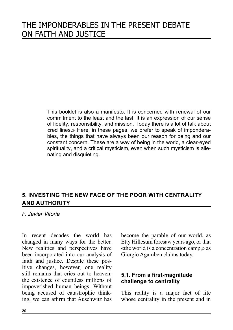This booklet is also a manifesto. It is concerned with renewal of our commitment to the least and the last. It is an expression of our sense of fidelity, responsibility, and mission. Today there is a lot of talk about «red lines.» Here, in these pages, we prefer to speak of imponderables, the things that have always been our reason for being and our constant concern. These are a way of being in the world, a clear-eyed spirituality, and a critical mysticism, even when such mysticism is alienating and disquieting.

# **5. INVESTING THE NEW FACE OF THE POOR WITH CENTRALITY AND AUTHORITY**

*F. Javier Vitoria*

In recent decades the world has changed in many ways for the better. New realities and perspectives have been incorporated into our analysis of faith and justice. Despite these positive changes, however, one reality still remains that cries out to heaven: the existence of countless millions of impoverished human beings. Without being accused of catastrophic thinking, we can affirm that Auschwitz has become the parable of our world, as Etty Hillesum foresaw years ago, or that «the world is a concentration camp,» as Giorgio Agamben claims today.

# **5.1. From a first-magnitude challenge to centrality**

This reality is a major fact of life whose centrality in the present and in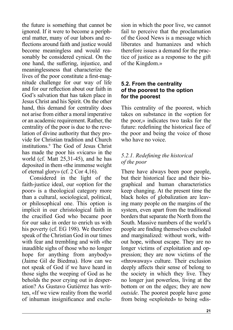the future is something that cannot be ignored. If it were to become a peripheral matter, many of our labors and reflections around faith and justice would become meaningless and would reasonably be considered cynical. On the one hand, the suffering, injustice, and meaninglessness that characterize the lives of the poor constitute a first-magnitude challenge for our way of life and for our reflection about our faith in God's salvation that has taken place in Jesus Christ and his Spirit. On the other hand, this demand for centrality does not arise from either a moral imperative or an academic requirement. Rather, the centrality of the poor is due to the revelation of divine authority that they provide for Christian tradition and Church institutions.9 The God of Jesus Christ has made the poor his «vicars» in the world (cf. Matt 25,31-45), and he has deposited in them «the immense weight of eternal glory» (cf. 2 Cor 4,16).

Considered in the light of the faith-justice ideal, our «option for the poor» is a theological category more than a cultural, sociological, political, or philosophical one. This option is implicit in our christological faith in the crucified God who became poor for our sake in order to enrich us with his poverty (cf. EG 198). We therefore speak of the Christian God in our times with fear and trembling and with «the inaudible sighs of those who no longer hope for anything from anybody» (Jaime Gil de Biedma). How can we not speak of God if we have heard in those sighs the weeping of God as he beholds the poor crying out in desperation? As Gustavo Gutiérrez has written, «If we view reality from the world of inhuman insignificance and exclusion in which the poor live, we cannot fail to perceive that the proclamation of the Good News is a message which liberates and humanizes and which therefore issues a demand for the practice of justice as a response to the gift of the Kingdom.»

## **5.2. From the centrality of the poorest to the option for the poorest**

This centrality of the poorest, which takes on substance in the «option for the poor,» indicates two tasks for the future: redefining the historical face of the poor and being the voice of those who have no voice.

# *5.2.1. Redefining the historical of the poor*

There have always been poor people, but their historical face and their biographical and human characteristics keep changing. At the present time the black holes of globalization are leaving many people on the margins of the system, even apart from the traditional borders that separate the North from the South. Massive numbers of the world's people are finding themselves excluded and marginalized: without work, without hope, without escape. They are no longer victims of exploitation and oppression; they are now victims of the «throwaway» culture. Their exclusion deeply affects their sense of belong to the society in which they live. They no longer just powerless, living at the bottom or on the edges; they are now *outside*. The poorest people have gone from being «exploited» to being «dis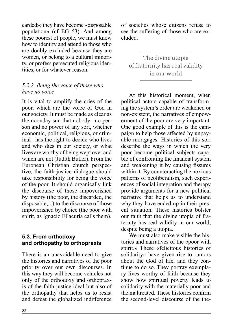<span id="page-21-0"></span>carded»; they have become «disposable population» (cf EG 53). And among these poorest of people, we must know how to identify and attend to those who are doubly excluded because they are women, or belong to a cultural minority, or profess persecuted religious identities, or for whatever reason.

#### *5.2.2. Being the voice of those who have no voice*

It is vital to amplify the cries of the poor, which are the voice of God in our society. It must be made as clear as the noonday sun that nobody –no person and no power of any sort, whether economic, political, religious, or criminal– has the right to decide who lives and who dies in our society, or what lives are worthy of being wept over and which are not (Judith Butler). From the European Christian church perspective, the faith-justice dialogue should take responsibility for being the voice of the poor. It should organically link the discourse of those impoverished by history (the poor, the discarded, the disposable,...) to the discourse of those impoverished by choice (the poor with spirit, as Ignacio Ellacuría calls them).

# **5.3. From orthodoxy and orthopathy to orthopraxis**

There is an unavoidable need to give the histories and narratives of the poor priority over our own discourses. In this way they will become vehicles not only of the orthodoxy and orthopraxis of the faith-justice ideal but also of the orthopathy that helps us to resist and defeat the globalized indifference

of societies whose citizens refuse to see the suffering of those who are excluded.

The divine utopia of fraternity has real validity in our world

At this historical moment, when political actors capable of transforming the system's order are weakened or non-existent, the narratives of empowerment of the poor are very important. One good example of this is the campaign to help those affected by unpayable mortgages. Histories of this sort describe the ways in which the very poor become political subjects capable of confronting the financial system and weakening it by causing fissures within it. By counteracting the noxious patterns of neoliberalism, such experiences of social integration and therapy provide arguments for a new political narrative that helps us to understand why they have ended up in their present situation. These histories bolster our faith that the divine utopia of fraternity has real validity in our world, despite being a utopia.

We must also make visible the histories and narratives of the «poor with spirit.» These «felicitous histories of solidarity» have given rise to rumors about the God of life, and they continue to do so. They portray exemplary lives worthy of faith because they show how spiritual poverty leads to solidarity with the materially poor and the maltreated. These histories confirm the second-level discourse of the the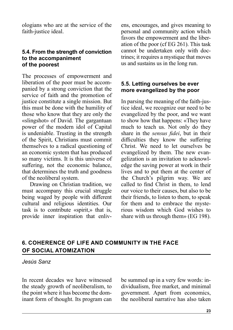ologians who are at the service of the faith-justice ideal.

### **5.4. From the strength of conviction to the accompaniment of the poorest**

The processes of empowerment and liberation of the poor must be accompanied by a strong conviction that the service of faith and the promotion of justice constitute a single mission. But this must be done with the humility of those who know that they are only the «slingshot» of David. The gargantuan power of the modern idol of Capital is undeniable. Trusting in the strength of the Spirit, Christians must commit themselves to a radical questioning of an economic system that has produced so many victims. It is this universe of suffering, not the economic balance, that determines the truth and goodness of the neoliberal system.

Drawing on Christian tradition, we must accompany this crucial struggle being waged by people with different cultural and religious identities. Our task is to contribute «spirit,» that is, provide inner inspiration that enlivens, encourages, and gives meaning to personal and community action which favors the empowerment and the liberation of the poor (cf EG 261). This task cannot be undertaken only with doctrines; it requires a mystique that moves us and sustains us in the long run.

## **5.5. Letting ourselves be ever more evangelized by the poor**

In parsing the meaning of the faith-justice ideal, we recognize our need to be evangelized by the poor, and we want to show how that happens: «They have much to teach us. Not only do they share in the *sensus fidei*, but in their difficulties they know the suffering Christ. We need to let ourselves be evangelized by them. The new evangelization is an invitation to acknowledge the saving power at work in their lives and to put them at the center of the Church's pilgrim way. We are called to find Christ in them, to lend our voice to their causes, but also to be their friends, to listen to them, to speak for them and to embrace the mysterious wisdom which God wishes to share with us through them» (EG 198).

# **6. COHERENCE OF LIFE AND COMMUNITY IN THE FACE OF SOCIAL ATOMIZATION**

*Jesús Sanz*

In recent decades we have witnessed the steady growth of neoliberalism, to the point where it has become the dominant form of thought. Its program can be summed up in a very few words: individualism, free market, and minimal government. Apart from economics, the neoliberal narrative has also taken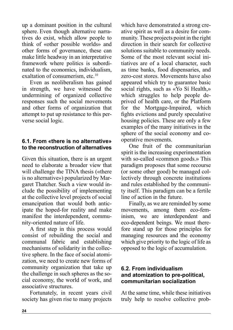up a dominant position in the cultural sphere. Even though alternative narratives do exist, which allow people to think of «other possible worlds» and other forms of governance, these can make little headway in an interpretative framework where politics is subordinated to the economics, individualism, exaltation of consumerism, etc.<sup>10</sup>

Even as neoliberalism has gained in strength, we have witnessed the undermining of organized collective responses such the social movements and other forms of organization that attempt to put up resistance to this perverse social logic.

# **6.1. From «there is no alternative» to the reconstruction of alternatives**

Given this situation, there is an urgent need to elaborate a broader view that will challenge the TINA thesis («there is no alternative») popularized by Margaret Thatcher. Such a view would include the possibility of implementing at the collective level projects of social emancipation that would both anticipate the hoped-for reality and make manifest the interdependent, community-oriented nature of life.

A first step in this process would consist of rebuilding the social and communal fabric and establishing mechanisms of solidarity in the collective sphere. In the face of social atomization, we need to create new forms of community organization that take up the challenge in such spheres as the social economy, the world of work, and associative structures.

Fortunately, in recent years civil society has given rise to many projects which have demonstrated a strong creative spirit as well as a desire for community. These projects point in the right direction in their search for collective solutions suitable to community needs. Some of the most relevant social initiatives are of a local character, such as time banks, food dispensaries, and zero-cost stores. Movements have also appeared which try to guarantee basic social rights, such as «Yo Sí Health,» which struggles to help people deprived of health care, or the Platform for the Mortgage-Impaired, which fights evictions and purely speculative housing policies. These are only a few examples of the many initiatives in the sphere of the social economy and cooperative movements.

One fruit of the communitarian spirit is the increasing experimentation with so-called «common goods.» This paradigm proposes that some recourse (or some other good) be managed collectively through concrete institutions and rules established by the community itself. This paradigm can be a fertile line of action in the future.

Finally, as we are reminded by some movements, among them eco-feminism, we are interdependent and eco-dependent beings. We must therefore stand up for those principles for managing resources and the economy which give priority to the logic of life as opposed to the logic of accumulation.

### **6.2. From individualism and atomization to pre-political, communitarian socialization**

At the same time, while these initiatives truly help to resolve collective prob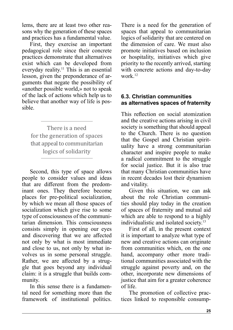<span id="page-24-0"></span>lems, there are at least two other reasons why the generation of these spaces and practices has a fundamental value.

First, they exercise an important pedagogical role since their concrete practices demonstrate that alternatives exist which can be developed from everyday reality.<sup>11</sup> This is an essential lesson, given the preponderance of arguments that negate the possibility of «another possible world,» not to speak of the lack of actions which help us to believe that another way of life is possible.

There is a need for the generation of spaces that appeal to communitarian logics of solidarity

Second, this type of space allows people to consider values and ideas that are different from the predominant ones. They therefore become places for pre-political socialization, by which we mean all those spaces of socialization which give rise to some type of consciousness of the communitarian dimension. This consciousness consists simply in opening our eyes and discovering that we are affected not only by what is most immediate and close to us, not only by what involves us in some personal struggle. Rather, we are affected by a struggle that goes beyond any individual claim: it is a struggle that builds community.

In this sense there is a fundamental need for something more than the framework of institutional politics.

There is a need for the generation of spaces that appeal to communitarian logics of solidarity that are centered on the dimension of care. We must also promote initiatives based on inclusion or hospitality, initiatives which give priority to the recently arrived, starting with concrete actions and day-to-day  $work$ <sup>12</sup>

# **6.3. Christian communities as alternatives spaces of fraternity**

This reflection on social atomization and the creative actions arising in civil society is something that should appeal to the Church. There is no question that the Gospel and Christian spirituality have a strong communitarian character and inspire people to make a radical commitment to the struggle for social justice. But it is also true that many Christian communities have in recent decades lost their dynamism and vitality.

Given this situation, we can ask about the role Christian communities should play today in the creation of spaces of fraternity and mutual aid which are able to respond to a highly individualistic and isolated society.<sup>13</sup>

First of all, in the present context it is important to analyze what type of new and creative actions can originate from communities which, on the one hand, accompany other more traditional communities associated with the struggle against poverty and, on the other, incorporate new dimensions of justice that aim for a greater coherence of life.

The promotion of collective practices linked to responsible consump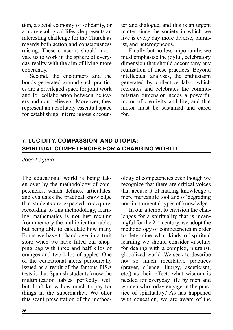tion, a social economy of solidarity, or a more ecological lifestyle presents an interesting challenge for the Church as regards both action and consciousness raising. These concerns should motivate us to work in the sphere of everyday reality with the aim of living more coherently.

Second, the encounters and the bonds generated around such practices are a privileged space for joint work and for collaboration between believers and non-believers. Moreover, they represent an absolutely essential space for establishing interreligious encounter and dialogue, and this is an urgent matter since the society in which we live is every day more diverse, pluralist, and heterogeneous.

Finally but no less importantly, we must emphasize the joyful, celebratory dimension that should accompany any realization of these practices. Beyond intellectual analyses, the enthusiasm generated by collective labor which recreates and celebrates the communitarian dimension needs a powerful motor of creativity and life, and that motor must be sustained and cared for.

# **7. LUCIDITY, COMPASSION, AND UTOPIA: SPIRITUAL COMPETENCIES FOR A CHANGING WORLD**

#### *José Laguna*

The educational world is being taken over by the methodology of competencies, which defines, articulates, and evaluates the practical knowledge that students are expected to acquire. According to this methodology, learning mathematics is not just reciting from memory the multiplication tables but being able to calculate how many Euros we have to hand over in a fruit store when we have filled our shopping bag with three and half kilos of oranges and two kilos of apples. One of the educational alerts periodically issued as a result of the famous PISA tests is that Spanish students know the multiplication tables perfectly well but don't know how much to pay for things in the supermarket. We offer this scant presentation of the methodology of competencies even though we recognize that there are critical voices that accuse it of making knowledge a mere mercantile tool and of degrading non-instrumental types of knowledge.

In our attempt to envision the challenges for a spirituality that is meaningful for the  $21<sup>st</sup>$  century, we adopt the methodology of competencies in order to determine what kinds of spiritual learning we should consider «useful» for dealing with a complex, pluralist, globalized world. We seek to describe not so much meditative practices (prayer, silence, liturgy, asceticism, etc.) as their effect: what wisdom is needed for everyday life by men and women who today engage in the practice of spirituality? As has happened with education, we are aware of the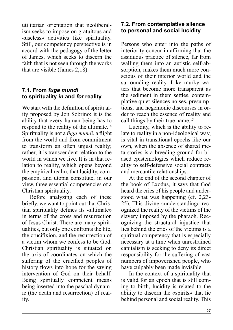utilitarian orientation that neoliberalism seeks to impose on gratuitous and «useless» activities like spirituality. Still, our competency perspective is in accord with the pedagogy of the letter of James, which seeks to discern the faith that is not seen through the works that are visible (James 2,18).

# **7.1. From** *fuga mundi* **to spirituality** *in* **and** *for* **reality**

We start with the definition of spirituality proposed by Jon Sobrino: it is the ability that every human being has to respond to the reality of the ultimate.<sup>14</sup> Spirituality is not a *fuga mundi*, a flight from the world and from commitment to transform an often unjust reality; rather, it is transcendent relation to the world in which we live. It is in that relation to reality, which opens beyond the empirical realm, that lucidity, compassion, and utopia constitute, in our view, three essential competencies of a Christian spirituality.

Before analyzing each of these briefly, we want to point out that Christian spirituality defines its «ultimate» in terms of the cross and resurrection of Jesus Christ. There are many spiritualities, but only one confronts the life, the crucifixion, and the resurrection of a victim whom we confess to be God. Christian spirituality is situated on the axis of coordinates on which the suffering of the crucified peoples of history flows into hope for the saving intervention of God on their behalf. Being spiritually competent means being inserted into the paschal dynamic (the death and resurrection) of reality.

# **7.2. From contemplative silence to personal and social lucidity**

Persons who enter into the paths of interiority concur in affirming that the assiduous practice of silence, far from walling them into an autistic self-absorption, makes them much more conscious of their interior world and the surrounding reality. Like murky waters that become more transparent as the sediment in them settles, contemplative quiet silences noises, presumptions, and hegemonic discourses in order to reach the essence of reality and call things by their true name.<sup>15</sup>

Lucidity, which is the ability to relate to reality in a non-ideological way, is vital in transitional epochs like our own, when the absence of shared meta-stories is a breeding ground for biased epistemologies which reduce reality to self-defensive social contracts and mercantile relationships.

At the end of the second chapter of the book of Exodus, it says that God heard the cries of his people and understood what was happening (cf. 2,23- 25). This divine «understanding» recognized the reality of the victims of the slavery imposed by the pharaoh. Recognizing the structural injustice that lies behind the cries of the victims is a spiritual competency that is especially necessary at a time when unrestrained capitalism is seeking to deny its direct responsibility for the suffering of vast numbers of impoverished people, who have culpably been made invisible.

In the context of a spirituality that is valid for an epoch that is still coming to birth, lucidity is related to the ability to discern the «spirits» that lie behind personal and social reality. This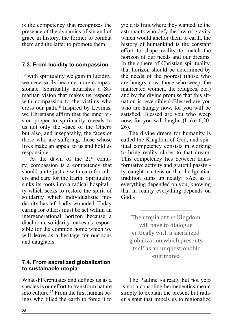is the competency that recognizes the presence of the dynamics of sin and of grace in history, the former to combat them and the latter to promote them.

# **7.3. From lucidity to compassion**

If with spirituality we gain in lucidity, we necessarily become more compassionate. Spirituality nourishes a Samaritan vision that makes us respond with compassion to the victims who cross our path.<sup>16</sup> Inspired by Levinas, we Christians affirm that the inner vision proper to spirituality reveals to us not only the «face of the Other» but also, and inseparably, the faces of those who are suffering, those whose lives make an appeal to us and hold us responsible.

At the dawn of the  $21^{st}$  century, compassion is a competency that should unite justice with care for others and care for the Earth. Spirituality sinks its roots into a radical hospitality which seeks to restore the spirit of solidarity which individualistic modernity has left badly wounded. Today caring for others must be set within an intergenerational horizon because a diachronic solidarity makes us responsible for the common home which we will leave as a heritage for our sons and daughters.

# **7.4. From sacralized globalization to sustainable utopia**

What differentiates and defines us as a species is our effort to transform nature into culture.17 From the first human beings who tilled the earth to force it to yield its fruit where they wanted, to the astronauts who defy the law of gravity which would anchor them to earth, the history of humankind is the constant effort to shape reality to match the horizon of our needs and our dreams. In the sphere of Christian spirituality, that horizon should be determined by the needs of the poorest (those who are hungry now, those who weep, the maltreated women, the refugees, etc.) and by the divine promise that this situation is reversible («Blessed are you who are hungry now, for you will be satisfied. Blessed are you who weep now, for you will laugh» (Luke 6,20- 26).

The divine dream for humanity is called the Kingdom of God, and spiritual competency consists in working to bring reality closer to that dream. This competency lies between transformative activity and grateful passivity, caught in a tension that the Ignatian tradition sums up neatly: «Act as if everything depended on you, knowing that in reality everything depends on God.»

The utopia of the Kingdom will have to dialogue critically with a sacralized globalization which presents itself as an unquestionable «ultimate»

The Pauline «already but not yet» is not a consoling hermeneutics meant simply to explain the present but rather a spur that impels us to regionalize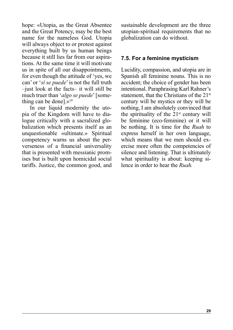<span id="page-28-0"></span>hope: «Utopia, as the Great Absentee and the Great Potency, may be the best name for the nameless God. Utopia will always object to or protest against everything built by us human beings because it still lies far from our aspirations. At the same time it will motivate us in spite of all our disappointments, for even though the attitude of 'yes, we can' or '*sí se puede*' is not the full truth –just look at the facts– it will still be much truer than '*algo se puede*' [something can be donel. $v^{18}$ 

In our liquid modernity the utopia of the Kingdom will have to dialogue critically with a sacralized globalization which presents itself as an unquestionable «ultimate.» Spiritual competency warns us about the perverseness of a financial universality that is presented with messianic promises but is built upon homicidal social tariffs. Justice, the common good, and sustainable development are the three utopian-spiritual requirements that no globalization can do without.

### **7.5. For a feminine mysticism**

Lucidity, compassion, and utopia are in Spanish all feminine nouns. This is no accident; the choice of gender has been intentional. Paraphrasing Karl Rahner's statement, that the Christians of the 21<sup>st</sup> century will be mystics or they will be nothing, I am absolutely convinced that the spirituality of the  $21<sup>st</sup>$  century will be feminine (eco-feminine) or it will be nothing. It is time for the *Ruah* to express herself in her own language, which means that we men should exercise more often the competencies of silence and listening. That is ultimately what spirituality is about: keeping silence in order to hear the *Ruah.*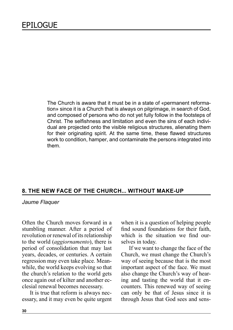The Church is aware that it must be in a state of «permanent reformation» since it is a Church that is always on pilgrimage, in search of God, and composed of persons who do not yet fully follow in the footsteps of Christ. The selfishness and limitation and even the sins of each individual are projected onto the visible religious structures, alienating them for their originating spirit. At the same time, these flawed structures work to condition, hamper, and contaminate the persons integrated into them.

#### **8. THE NEW FACE OF THE CHURCH... WITHOUT MAKE-UP**

*Jaume Flaquer*

Often the Church moves forward in a stumbling manner. After a period of revolution or renewal of its relationship to the world (*aggiornamento*), there is period of consolidation that may last years, decades, or centuries. A certain regression may even take place. Meanwhile, the world keeps evolving so that the church's relation to the world gets once again out of kilter and another ecclesial renewal becomes necessary.

It is true that reform is always necessary, and it may even be quite urgent when it is a question of helping people find sound foundations for their faith, which is the situation we find ourselves in today.

If we want to change the face of the Church, we must change the Church's way of seeing because that is the most important aspect of the face. We must also change the Church's way of hearing and tasting the world that it encounters. This renewed way of seeing can only be that of Jesus since it is through Jesus that God sees and sens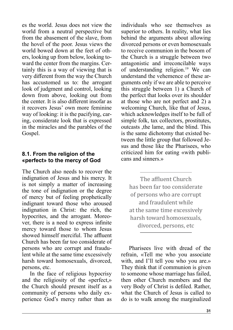es the world. Jesus does not view the world from a neutral perspective but from the abasement of the slave, from the hovel of the poor. Jesus views the world bowed down at the feet of others, looking up from below, looking toward the center from the margins. Certainly this is a way of viewing that is very different from the way the Church has accustomed us to: the arrogant look of judgment and control, looking down from above, looking out from the center. It is also different insofar as it recovers Jesus' own more feminine way of looking: it is the pacifying, caring, considerate look that is expressed in the miracles and the parables of the Gospel.

#### **8.1. From the religion of the «perfect» to the mercy of God**

The Church also needs to recover the indignation of Jesus and his mercy. It is not simply a matter of increasing the tone of indignation or the degree of mercy but of feeling prophetically indignant toward those who aroused indignation in Christ: the rich, the hypocrites, and the arrogant. Moreover, there is a need to express infinite mercy toward those to whom Jesus showed himself merciful. The affluent Church has been far too considerate of persons who are corrupt and fraudulent while at the same time excessively harsh toward homosexuals, divorced, persons, etc.

In the face of religious hypocrisy and the religiosity of the «perfect,» the Church should present itself as a community of persons who daily experience God's mercy rather than as

individuals who see themselves as superior to others. In reality, what lies behind the arguments about allowing divorced persons or even homosexuals to receive communion in the bosom of the Church is a struggle between two antagonistic and irreconcilable ways of understanding religion.19 We can understand the vehemence of these arguments only if we are able to perceive this struggle between 1) a Church of the perfect that looks over its shoulder at those who are not perfect and 2) a welcoming Church, like that of Jesus, which acknowledges itself to be full of simple folk, tax collectors, prostitutes, outcasts ,the lame, and the blind. This is the same dichotomy that existed between the little group that followed Jesus and those like the Pharisees, who criticized him for eating «with publicans and sinners.»

The affluent Church has been far too considerate of persons who are corrupt and fraudulent while at the same time excessively harsh toward homosexuals, divorced, persons, etc

Pharisees live with dread of the refrain, «Tell me who you associate with, and I'll tell you who you are.» They think that if communion is given to someone whose marriage has failed, then other Church members and the very Body of Christ is defiled. Rather, what the Church of Jesus is called to do is to walk among the marginalized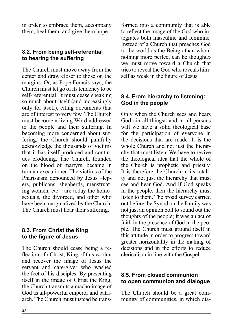in order to embrace them, accompany them, heal them, and give them hope.

# **8.2. From being self-referential to hearing the suffering**

The Church must move away from the center and draw closer to those on the margins. Or, as Pope Francis says, the Church must let go of its tendency to be self-referential. It must cease speaking so much about itself (and increasingly only for itself), citing documents that are of interest to very few. The Church must become a living Word addressed to the people and their suffering. In becoming more concerned about suffering, the Church should painfully acknowledge the thousands of victims that it has itself produced and continues producing. The Church, founded on the blood of martyrs, became in turn an executioner. The victims of the Pharisaism denounced by Jesus –lepers, publicans, shepherds, menstruating women, etc.– are today the homosexuals, the divorced, and other who have been marginalized by the Church. The Church must hear their suffering.

# **8.3. From Christ the King to the figure of Jesus**

The Church should cease being a reflection of «Christ, King of this world» and recover the image of Jesus the servant and care-giver who washed the feet of his disciples. By presenting itself in the image of Christ the King, the Church transmits a macho image of God as all-powerful emperor and patriarch. The Church must instead be transformed into a community that is able to reflect the image of the God who integrates both masculine and feminine. Instead of a Church that preaches God to the world as the Being «than whom nothing more perfect can be thought,» we must move toward a Church that tries to reveal the God who reveals himself as weak in the figure of Jesus.

# **8.4. From hierarchy to listening: God in the people**

Only when the Church sees and hears God «in all things» and in all persons will we have a solid theological base for the participation of everyone in the decisions that are made. It is the whole Church and not just the hierarchy that must listen. We have to revive the theological idea that the whole of the Church is prophetic and priestly. It is therefore the Church in its totality and not just the hierarchy that must see and hear God. And if God speaks in the people, then the hierarchy must listen to them. The broad survey carried out before the Synod on the Family was not just an opinion poll to sound out the thoughts of the people; it was an act of faith in the presence of God in the people. The Church must ground itself in this attitude in order to progress toward greater horizontality in the making of decisions and in the efforts to reduce clericalism in line with the Gospel.

# **8.5. From closed communion to open communion and dialogue**

The Church should be a great community of communities, in which dia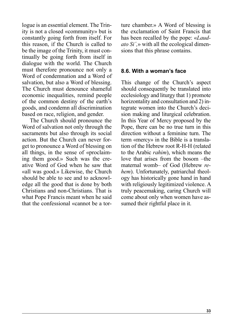logue is an essential element. The Trinity is not a closed «community» but is constantly going forth from itself. For this reason, if the Church is called to be the image of the Trinity, it must continually be going forth from itself in dialogue with the world. The Church must therefore pronounce not only a Word of condemnation and a Word of salvation, but also a Word of blessing. The Church must denounce shameful economic inequalities, remind people of the common destiny of the earth's goods, and condemn all discrimination based on race, religion, and gender.

The Church should pronounce the Word of salvation not only through the sacraments but also through its social action. But the Church can never forget to pronounce a Word of blessing on all things, in the sense of «proclaiming them good.» Such was the creative Word of God when he saw that «all was good.» Likewise, the Church should be able to see and to acknowledge all the good that is done by both Christians and non-Christians. That is what Pope Francis meant when he said that the confessional «cannot be a torture chamber.» A Word of blessing is the exclamation of Saint Francis that has been recalled by the pope: «*Laudato Si´,*» with all the ecological dimensions that this phrase contains.

#### **8.6. With a woman's face**

This change of the Church's aspect should consequently be translated into ecclesiology and liturgy that 1) promote horizontality and consultation and 2) integrate women into the Church's decision making and liturgical celebration. In this Year of Mercy proposed by the Pope, there can be no true turn in this direction without a feminine turn. The term «mercy» in the Bible is a translation of the Hebrew root R-H-H (related to the Arabic *rahim*), which means the love that arises from the bosom –the maternal womb– of God (Hebrew *rehem*). Unfortunately, patriarchal theology has historically gone hand in hand with religiously legitimized violence. A truly peacemaking, caring Church will come about only when women have assumed their rightful place in it.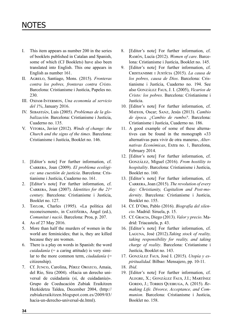- I. This item appears as number 200 in the series of booklets published in Catalan and Spanish, some of which (CJ Booklets) have also been translated into English. This one appears in English as number 161.
- II. Agrelo, Santiago, Mons. (2015). *Fronteras contra los pobres, fronteras contra Cristo.*  Barcelona: Cristianisme i Justícia, Papeles no. 230.
- III. Oxfam-Intermon, *Una economía al servicio del 1%*, January 2016.
- IV. Sebastián, Luis (2005). *Problemas de la globalización.* Barcelona: Cristianisme i Justícia, Cuaderno no. 135.
- V. Vitoria, Javier (2012). *Winds of change: the Church and the signs of the times*. Barcelona: Cristianisme i Justícia, Booklet no. 146.
- 1. [Editor's note] For further information, cf. Carrera, Joan (2009). *El problema ecológico: una cuestión de justicia*. Barcelona: Cristianisme i Justícia, Cuaderno no. 161.
- 2. [Editor's note] For further information, cf. Carrera, Joan (2007). *Identities for the 21st century.* Barcelona: Cristianisme i Justícia, Booklet no. 127.
- 3. Taylor, Charles (1995). «La política del reconeixement», in CASTIÑEIRA, Àngel (ed.), *Comunitat i nació*. Barcelona: Proa, p. 207.
- 4. As of 27 May 2016.
- 5. More than half the murders of women in the world are feminicides; that is, they are killed because they are women.
- 6. There is a play on words in Spanish: the word *cuidadanía* (= a caring attitude) is very similar to the more common term, *ciudadanía* (= citizenship).
- 7. Cf. Junco, Carolina, Pérez Orozco, Amaia, del Río, Sira (2004). «Hacia un derecho universal de cuidadanía (sí, de cuidadanía)». Grupo de Coeducación Zubiak Eraikitzen Hezkidetza Taldea, December 2004, (http:// zubiakeraikitzen.blogspot.com.es/2009/03/ hacia-un-derecho-universal-de.html).
- 8. [Editor's note] For further information, cf. Ramón, Lucía (2012). *Women of care*. Barcelona: Cristianisme i Justícia, Booklet no. 145.
- 9. [Editor's note] For further information, cf. Cristianisme i Justícia (2015). *La causa de los pobres, causa de Dios*. Barcelona: Cristianisme i Justícia, Cuaderno no. 194. See also González Faus, J. I. (2005), *Vicarios de Cristo: los pobres*. Barcelona: Cristianisme i Justícia.
- 10. [Editor's note] For further information, cf. Mateos, Oscar; Sanz, Jesús (2013). *Cambio de época. ¿Cambio de rumbo?*. Barcelona: Cristianisme i Justícia, Cuaderno no. 186.
- 11. A good example of some of these alternatives can be found in the monograph «33 alternativas para vivir de otra manera», *Alternativas Económicas*, Extra no. 1, Barcelona, February 2014.
- 12. [Editor's note] For further information, cf. González, Miguel (2016). *From hostility to hospitality*. Barcelona: Cristianisme i Justícia, Booklet no. 160.
- 13. [Editor's note] For further information, cf. Carrera, Joan (2015). *The revolution of every day: Christianity, Capitalism and Post-modernity*. Barcelona: Cristianisme i Justícia, Booklet no. 155.
- 14. Cf. D'Ors, Pablo (2016). *Biografía del silencio*. Madrid: Siruela, p. 15.
- 15. Cf. Gracia, Diego (2013). *Valor y precio*. Madrid: Triacastela, p. 43.
- 16. [Editor's note] For further information, cf. Laguna, José (2012).*Taking stock of reality, taking responsibility for reality, and taking charge of reality*. Barcelona: Cristianisme i Justícia, Booklet no. 143.
- 17. González Faus, José I. (2015). *Utopía y espiritualidad*. Bilbao: Mensajero, pp. 10-11.
- 18. *Ibid*.
- 19. [Editor's note] For further information, cf. Alegre, X.; González Faus, J.I.; Martínez Gordo, J.; Torres Queiruga, A. (2015). *Remaking Life. Divorce, Acceptance, and Communion*. Barcelona: Cristianisme i Justícia, Booklet no. 158.